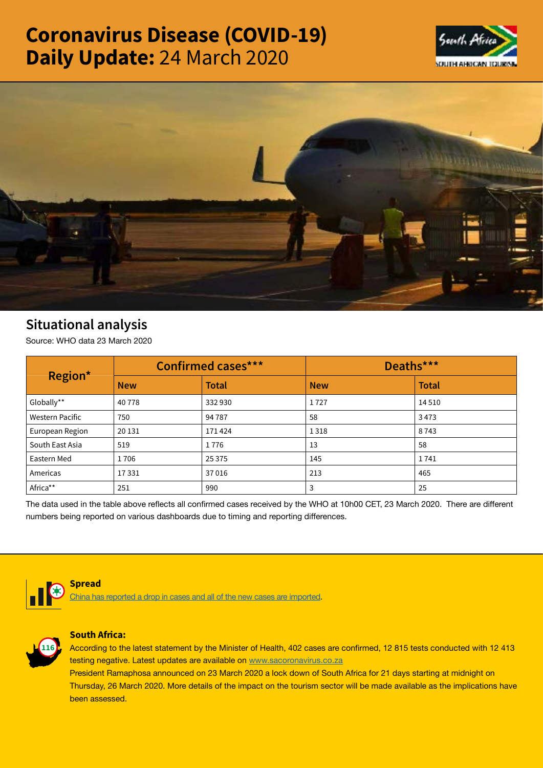# Coronavirus Disease (COVID-19) Daily Update: 24 March 2020





## Situational analysis

Source: WHO data 23 March 2020

| Region*         | <b>Confirmed cases***</b> |              | Deaths***  |              |
|-----------------|---------------------------|--------------|------------|--------------|
|                 | <b>New</b>                | <b>Total</b> | <b>New</b> | <b>Total</b> |
| Globally**      | 40778                     | 332930       | 1727       | 14 5 10      |
| Western Pacific | 750                       | 94 78 7      | 58         | 3473         |
| European Region | 20 13 1                   | 171424       | 1318       | 8743         |
| South East Asia | 519                       | 1776         | 13         | 58           |
| Eastern Med     | 1706                      | 25 3 7 5     | 145        | 1741         |
| Americas        | 17331                     | 37016        | 213        | 465          |
| Africa**        | 251                       | 990          | 3          | 25           |

The data used in the table above reflects all confirmed cases received by the WHO at 10h00 CET, 23 March 2020. There are different numbers being reported on various dashboards due to timing and reporting differences.



### Spread

[China has reported a drop in cases and all of the new cases are imported](https://t.co/HGCUKgijwz?amp=1).



#### South Africa:

According to the latest statement by the Minister of Health, 402 cases are confirmed, 12 815 tests conducted with 12 413 testing negative. Latest updates are available on [www.sacoronavirus.co.za](http://www.sacoronavirus.co.za) President Ramaphosa announced on 23 March 2020 a lock down of South Africa for 21 days starting at midnight on

Thursday, 26 March 2020. More details of the impact on the tourism sector will be made available as the implications have been assessed.